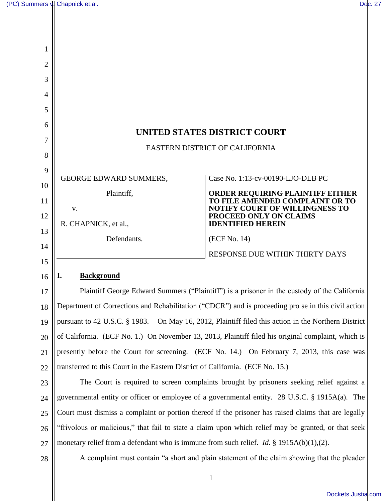| 1              |                                                                                                     |                                                                                                      |  |  |  |
|----------------|-----------------------------------------------------------------------------------------------------|------------------------------------------------------------------------------------------------------|--|--|--|
| $\overline{2}$ |                                                                                                     |                                                                                                      |  |  |  |
| 3              |                                                                                                     |                                                                                                      |  |  |  |
| 4              |                                                                                                     |                                                                                                      |  |  |  |
| 5              |                                                                                                     |                                                                                                      |  |  |  |
| 6              |                                                                                                     |                                                                                                      |  |  |  |
| 7              | UNITED STATES DISTRICT COURT                                                                        |                                                                                                      |  |  |  |
| 8              | EASTERN DISTRICT OF CALIFORNIA                                                                      |                                                                                                      |  |  |  |
| 9              |                                                                                                     |                                                                                                      |  |  |  |
| 10             | <b>GEORGE EDWARD SUMMERS,</b>                                                                       | Case No. 1:13-cv-00190-LJO-DLB PC                                                                    |  |  |  |
| 11             | Plaintiff,                                                                                          | ORDER REQUIRING PLAINTIFF EITHER<br>TO FILE AMENDED COMPLAINT OR TO                                  |  |  |  |
| 12             | V.                                                                                                  | <b>NOTIFY COURT OF WILLINGNESS TO</b><br>PROCEED ONLY ON CLAIMS                                      |  |  |  |
| 13             | R. CHAPNICK, et al.,                                                                                | <b>IDENTIFIED HEREIN</b>                                                                             |  |  |  |
| 14             | Defendants.                                                                                         | (ECF No. 14)                                                                                         |  |  |  |
| 15             |                                                                                                     | RESPONSE DUE WITHIN THIRTY DAYS                                                                      |  |  |  |
| 16             | I.<br><b>Background</b>                                                                             |                                                                                                      |  |  |  |
| 17             |                                                                                                     | Plaintiff George Edward Summers ("Plaintiff") is a prisoner in the custody of the California         |  |  |  |
| 18             |                                                                                                     | Department of Corrections and Rehabilitation ("CDCR") and is proceeding pro se in this civil action  |  |  |  |
| 19             | pursuant to 42 U.S.C. § 1983. On May 16, 2012, Plaintiff filed this action in the Northern District |                                                                                                      |  |  |  |
| 20             | of California. (ECF No. 1.) On November 13, 2013, Plaintiff filed his original complaint, which is  |                                                                                                      |  |  |  |
| 21             | presently before the Court for screening. (ECF No. 14.) On February 7, 2013, this case was          |                                                                                                      |  |  |  |
| 22             | transferred to this Court in the Eastern District of California. (ECF No. 15.)                      |                                                                                                      |  |  |  |
| 23             | The Court is required to screen complaints brought by prisoners seeking relief against a            |                                                                                                      |  |  |  |
| 24             |                                                                                                     | governmental entity or officer or employee of a governmental entity. 28 U.S.C. § 1915A(a). The       |  |  |  |
| 25             |                                                                                                     | Court must dismiss a complaint or portion thereof if the prisoner has raised claims that are legally |  |  |  |
| 26             | "frivolous or malicious," that fail to state a claim upon which relief may be granted, or that seek |                                                                                                      |  |  |  |
| 27             | monetary relief from a defendant who is immune from such relief. <i>Id.</i> § 1915A(b)(1),(2).      |                                                                                                      |  |  |  |
| 28             | A complaint must contain "a short and plain statement of the claim showing that the pleader         |                                                                                                      |  |  |  |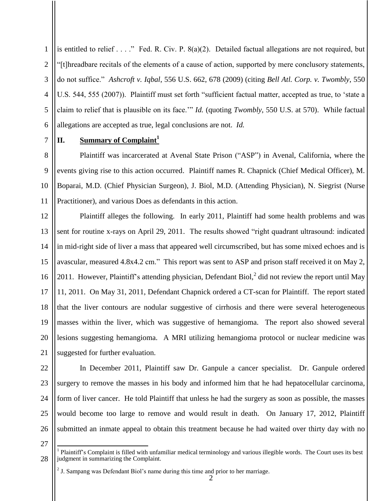1 2 3 4 5 6 is entitled to relief . . . ." Fed. R. Civ. P. 8(a)(2). Detailed factual allegations are not required, but "[t]hreadbare recitals of the elements of a cause of action, supported by mere conclusory statements, do not suffice." *Ashcroft v. Iqbal*, 556 U.S. 662, 678 (2009) (citing *Bell Atl. Corp. v. Twombly*, 550 U.S. 544, 555 (2007)). Plaintiff must set forth "sufficient factual matter, accepted as true, to 'state a claim to relief that is plausible on its face.'" *Id.* (quoting *Twombly*, 550 U.S. at 570). While factual allegations are accepted as true, legal conclusions are not. *Id.*

7

8

9

11

## **II. Summary of Complaint<sup>1</sup>**

10 Plaintiff was incarcerated at Avenal State Prison ("ASP") in Avenal, California, where the events giving rise to this action occurred. Plaintiff names R. Chapnick (Chief Medical Officer), M. Boparai, M.D. (Chief Physician Surgeon), J. Biol, M.D. (Attending Physician), N. Siegrist (Nurse Practitioner), and various Does as defendants in this action.

12 13 14 15 16 17 18 19 20 21 Plaintiff alleges the following. In early 2011, Plaintiff had some health problems and was sent for routine x-rays on April 29, 2011. The results showed "right quadrant ultrasound: indicated in mid-right side of liver a mass that appeared well circumscribed, but has some mixed echoes and is avascular, measured 4.8x4.2 cm." This report was sent to ASP and prison staff received it on May 2, 2011. However, Plaintiff's attending physician, Defendant Biol, $^2$  did not review the report until May 11, 2011. On May 31, 2011, Defendant Chapnick ordered a CT-scan for Plaintiff. The report stated that the liver contours are nodular suggestive of cirrhosis and there were several heterogeneous masses within the liver, which was suggestive of hemangioma. The report also showed several lesions suggesting hemangioma. A MRI utilizing hemangioma protocol or nuclear medicine was suggested for further evaluation.

22

surgery to remove the masses in his body and informed him that he had hepatocellular carcinoma, form of liver cancer. He told Plaintiff that unless he had the surgery as soon as possible, the masses would become too large to remove and would result in death. On January 17, 2012, Plaintiff submitted an inmate appeal to obtain this treatment because he had waited over thirty day with no

In December 2011, Plaintiff saw Dr. Ganpule a cancer specialist. Dr. Ganpule ordered

27

28

 $\overline{\phantom{a}}$ 1 Plaintiff's Complaint is filled with unfamiliar medical terminology and various illegible words. The Court uses its best judgment in summarizing the Complaint.

 $2<sup>2</sup>$  J. Sampang was Defendant Biol's name during this time and prior to her marriage.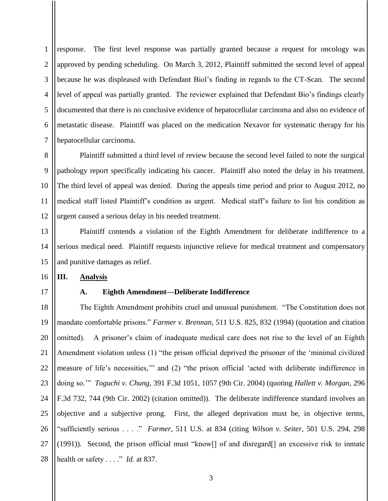1 2 3 4 5 6 7 response. The first level response was partially granted because a request for oncology was approved by pending scheduling. On March 3, 2012, Plaintiff submitted the second level of appeal because he was displeased with Defendant Biol's finding in regards to the CT-Scan. The second level of appeal was partially granted. The reviewer explained that Defendant Bio's findings clearly documented that there is no conclusive evidence of hepatocellular carcinoma and also no evidence of metastatic disease. Plaintiff was placed on the medication Nexavor for systematic therapy for his hepatocellular carcinoma.

8 9 10 11 12 Plaintiff submitted a third level of review because the second level failed to note the surgical pathology report specifically indicating his cancer. Plaintiff also noted the delay in his treatment. The third level of appeal was denied. During the appeals time period and prior to August 2012, no medical staff listed Plaintiff's condition as urgent. Medical staff's failure to list his condition as urgent caused a serious delay in his needed treatment.

13 14 15 Plaintiff contends a violation of the Eighth Amendment for deliberate indifference to a serious medical need. Plaintiff requests injunctive relieve for medical treatment and compensatory and punitive damages as relief.

#### **III. Analysis**

17

16

#### **A. Eighth Amendment—Deliberate Indifference**

18 19 20 21 22 23 24 25 26 27 28 The Eighth Amendment prohibits cruel and unusual punishment. "The Constitution does not mandate comfortable prisons." *Farmer v. Brennan*, 511 U.S. 825, 832 (1994) (quotation and citation omitted). A prisoner's claim of inadequate medical care does not rise to the level of an Eighth Amendment violation unless (1) "the prison official deprived the prisoner of the 'minimal civilized measure of life's necessities,'" and (2) "the prison official 'acted with deliberate indifference in doing so.'" *Toguchi v. Chung*, 391 F.3d 1051, 1057 (9th Cir. 2004) (quoting *Hallett v. Morgan*, 296 F.3d 732, 744 (9th Cir. 2002) (citation omitted)). The deliberate indifference standard involves an objective and a subjective prong. First, the alleged deprivation must be, in objective terms, "sufficiently serious . . . ." *Farmer*, 511 U.S. at 834 (citing *Wilson v. Seiter*, 501 U.S. 294, 298 (1991)). Second, the prison official must "know[] of and disregard[] an excessive risk to inmate health or safety . . . ." *Id.* at 837.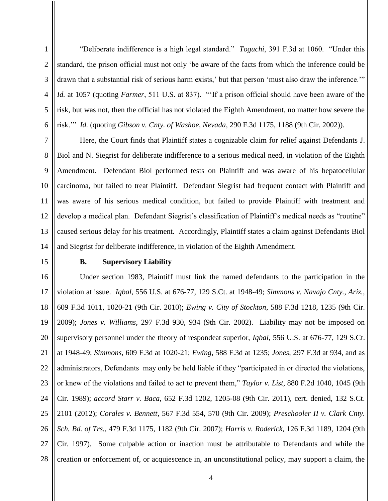"Deliberate indifference is a high legal standard." *Toguchi*, 391 F.3d at 1060. "Under this standard, the prison official must not only 'be aware of the facts from which the inference could be drawn that a substantial risk of serious harm exists,' but that person 'must also draw the inference.'" *Id.* at 1057 (quoting *Farmer*, 511 U.S. at 837). "'If a prison official should have been aware of the risk, but was not, then the official has not violated the Eighth Amendment, no matter how severe the risk.'" *Id.* (quoting *Gibson v. Cnty. of Washoe, Nevada*, 290 F.3d 1175, 1188 (9th Cir. 2002)).

7 8 9 10 11 12 13 14 Here, the Court finds that Plaintiff states a cognizable claim for relief against Defendants J. Biol and N. Siegrist for deliberate indifference to a serious medical need, in violation of the Eighth Amendment. Defendant Biol performed tests on Plaintiff and was aware of his hepatocellular carcinoma, but failed to treat Plaintiff. Defendant Siegrist had frequent contact with Plaintiff and was aware of his serious medical condition, but failed to provide Plaintiff with treatment and develop a medical plan. Defendant Siegrist's classification of Plaintiff's medical needs as "routine" caused serious delay for his treatment. Accordingly, Plaintiff states a claim against Defendants Biol and Siegrist for deliberate indifference, in violation of the Eighth Amendment.

# 15 17

1

2

3

4

5

6

### **B. Supervisory Liability**

16 18 19 20 21 22 23 24 25 26 27 28 Under section 1983, Plaintiff must link the named defendants to the participation in the violation at issue. *Iqbal*, 556 U.S. at 676-77, 129 S.Ct. at 1948-49; *Simmons v. Navajo Cnty., Ariz.,* 609 F.3d 1011, 1020-21 (9th Cir. 2010); *Ewing v. City of Stockton*, 588 F.3d 1218, 1235 (9th Cir. 2009); *Jones v. Williams*, 297 F.3d 930, 934 (9th Cir. 2002). Liability may not be imposed on supervisory personnel under the theory of respondeat superior, *Iqbal*, 556 U.S. at 676-77, 129 S.Ct. at 1948-49; *Simmons*, 609 F.3d at 1020-21; *Ewing*, 588 F.3d at 1235; *Jones*, 297 F.3d at 934, and as administrators, Defendants may only be held liable if they "participated in or directed the violations, or knew of the violations and failed to act to prevent them," *Taylor v. List*, 880 F.2d 1040, 1045 (9th Cir. 1989); *accord Starr v. Baca*, 652 F.3d 1202, 1205-08 (9th Cir. 2011), cert. denied, 132 S.Ct. 2101 (2012); *Corales v. Bennett*, 567 F.3d 554, 570 (9th Cir. 2009); *Preschooler II v. Clark Cnty. Sch. Bd. of Trs.*, 479 F.3d 1175, 1182 (9th Cir. 2007); *Harris v. Roderick*, 126 F.3d 1189, 1204 (9th Cir. 1997). Some culpable action or inaction must be attributable to Defendants and while the creation or enforcement of, or acquiescence in, an unconstitutional policy, may support a claim, the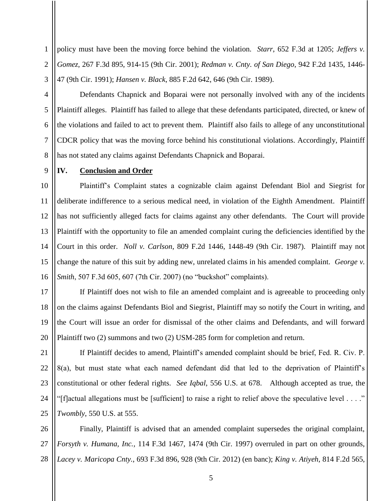policy must have been the moving force behind the violation. *Starr*, 652 F.3d at 1205; *Jeffers v. Gomez*, 267 F.3d 895, 914-15 (9th Cir. 2001); *Redman v. Cnty. of San Diego*, 942 F.2d 1435, 1446- 47 (9th Cir. 1991); *Hansen v. Black*, 885 F.2d 642, 646 (9th Cir. 1989).

Defendants Chapnick and Boparai were not personally involved with any of the incidents Plaintiff alleges. Plaintiff has failed to allege that these defendants participated, directed, or knew of the violations and failed to act to prevent them. Plaintiff also fails to allege of any unconstitutional CDCR policy that was the moving force behind his constitutional violations. Accordingly, Plaintiff has not stated any claims against Defendants Chapnick and Boparai.

8 9

1

2

3

4

5

6

7

#### **IV. Conclusion and Order**

10 11 12 13 14 15 16 Plaintiff's Complaint states a cognizable claim against Defendant Biol and Siegrist for deliberate indifference to a serious medical need, in violation of the Eighth Amendment. Plaintiff has not sufficiently alleged facts for claims against any other defendants. The Court will provide Plaintiff with the opportunity to file an amended complaint curing the deficiencies identified by the Court in this order. *Noll v. Carlson*, 809 F.2d 1446, 1448-49 (9th Cir. 1987). Plaintiff may not change the nature of this suit by adding new, unrelated claims in his amended complaint. *George v. Smith*, 507 F.3d 605, 607 (7th Cir. 2007) (no "buckshot" complaints).

17 18 19 20 If Plaintiff does not wish to file an amended complaint and is agreeable to proceeding only on the claims against Defendants Biol and Siegrist, Plaintiff may so notify the Court in writing, and the Court will issue an order for dismissal of the other claims and Defendants, and will forward Plaintiff two (2) summons and two (2) USM-285 form for completion and return.

21 22 23 24 25 If Plaintiff decides to amend, Plaintiff's amended complaint should be brief, Fed. R. Civ. P. 8(a), but must state what each named defendant did that led to the deprivation of Plaintiff's constitutional or other federal rights. *See Iqbal*, 556 U.S. at 678. Although accepted as true, the "[f]actual allegations must be [sufficient] to raise a right to relief above the speculative level . . . ." *Twombly*, 550 U.S. at 555.

26 27 28 Finally, Plaintiff is advised that an amended complaint supersedes the original complaint, *Forsyth v. Humana, Inc.,* 114 F.3d 1467, 1474 (9th Cir. 1997) overruled in part on other grounds, *Lacey v. Maricopa Cnty.*, 693 F.3d 896, 928 (9th Cir. 2012) (en banc); *King v. Atiyeh*, 814 F.2d 565,

5